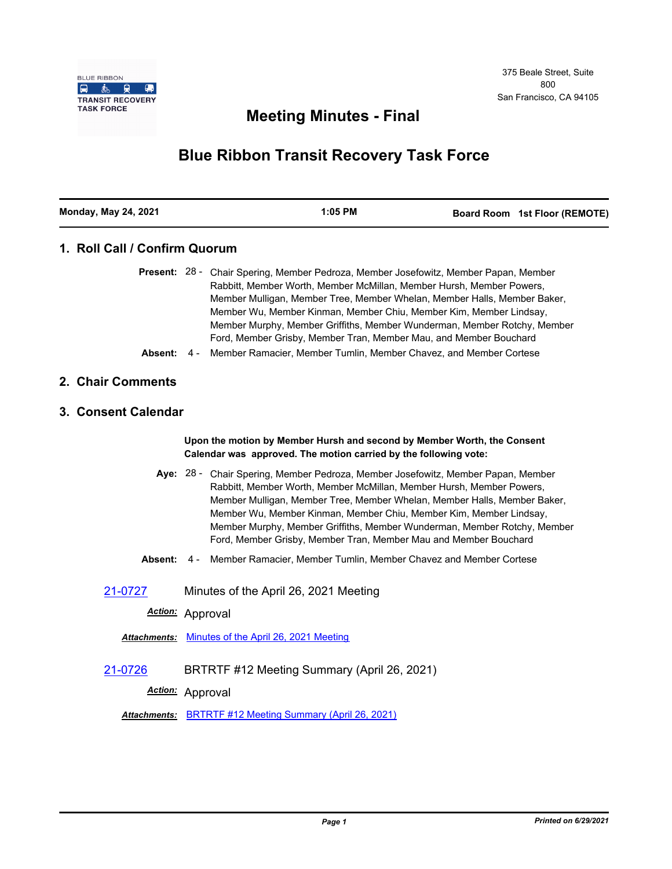

# **Meeting Minutes - Final**

# **Blue Ribbon Transit Recovery Task Force**

| <b>Monday, May 24, 2021</b> | $1:05$ PM | Board Room 1st Floor (REMOTE) |
|-----------------------------|-----------|-------------------------------|

# **1. Roll Call / Confirm Quorum**

|  | <b>Present:</b> 28 - Chair Spering, Member Pedroza, Member Josefowitz, Member Papan, Member |  |
|--|---------------------------------------------------------------------------------------------|--|
|  | Rabbitt, Member Worth, Member McMillan, Member Hursh, Member Powers,                        |  |
|  | Member Mulligan, Member Tree, Member Whelan, Member Halls, Member Baker,                    |  |
|  | Member Wu, Member Kinman, Member Chiu, Member Kim, Member Lindsay,                          |  |
|  | Member Murphy, Member Griffiths, Member Wunderman, Member Rotchy, Member                    |  |
|  | Ford, Member Grisby, Member Tran, Member Mau, and Member Bouchard                           |  |
|  | <b>Absent:</b> 4 - Member Ramacier, Member Tumlin, Member Chavez, and Member Cortese        |  |

### **2. Chair Comments**

### **3. Consent Calendar**

**Upon the motion by Member Hursh and second by Member Worth, the Consent Calendar was approved. The motion carried by the following vote:**

- Aye: 28 Chair Spering, Member Pedroza, Member Josefowitz, Member Papan, Member Rabbitt, Member Worth, Member McMillan, Member Hursh, Member Powers, Member Mulligan, Member Tree, Member Whelan, Member Halls, Member Baker, Member Wu, Member Kinman, Member Chiu, Member Kim, Member Lindsay, Member Murphy, Member Griffiths, Member Wunderman, Member Rotchy, Member Ford, Member Grisby, Member Tran, Member Mau and Member Bouchard
- **Absent:** 4 Member Ramacier, Member Tumlin, Member Chavez and Member Cortese

[21-0727](http://mtc.legistar.com/gateway.aspx?m=l&id=/matter.aspx?key=22320) Minutes of the April 26, 2021 Meeting

*Action:* Approval

*Attachments:* [Minutes of the April 26, 2021 Meeting](http://mtc.legistar.com/gateway.aspx?M=F&ID=9ab51a82-7eab-4caa-988e-13e32aaa7ea2.pdf)

[21-0726](http://mtc.legistar.com/gateway.aspx?m=l&id=/matter.aspx?key=22319) BRTRTF #12 Meeting Summary (April 26, 2021)

*Action:* Approval

*Attachments:* [BRTRTF #12 Meeting Summary \(April 26, 2021\)](http://mtc.legistar.com/gateway.aspx?M=F&ID=61240efe-b770-4be9-950c-76ca639ce4f3.pdf)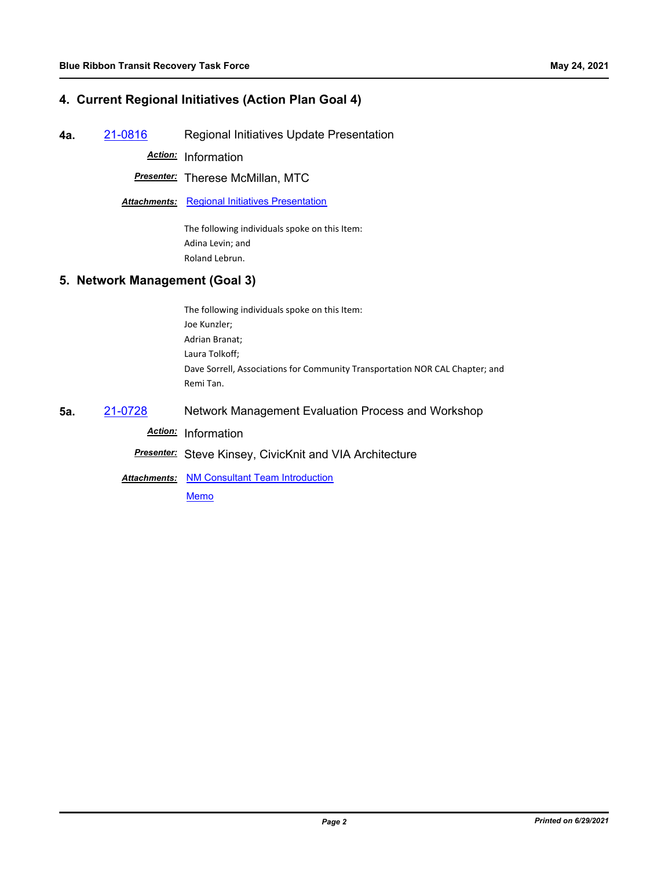## **4. Current Regional Initiatives (Action Plan Goal 4)**

**4a.** [21-0816](http://mtc.legistar.com/gateway.aspx?m=l&id=/matter.aspx?key=22409) Regional Initiatives Update Presentation

*Action:* Information

*Presenter:* Therese McMillan, MTC

**Attachments: [Regional Initiatives Presentation](http://mtc.legistar.com/gateway.aspx?M=F&ID=0becf9ea-c0e3-4574-8dd1-181ebf4951b2.pdf)** 

The following individuals spoke on this Item: Adina Levin; and Roland Lebrun.

### **5. Network Management (Goal 3)**

The following individuals spoke on this Item: Joe Kunzler; Adrian Branat; Laura Tolkoff; Dave Sorrell, Associations for Community Transportation NOR CAL Chapter; and Remi Tan.

**5a.** [21-0728](http://mtc.legistar.com/gateway.aspx?m=l&id=/matter.aspx?key=22321) Network Management Evaluation Process and Workshop

*Action:* Information

*Presenter:* Steve Kinsey, CivicKnit and VIA Architecture

**Attachments: [NM Consultant Team Introduction](http://mtc.legistar.com/gateway.aspx?M=F&ID=ea8552fd-67fb-4fcc-b383-81c485446a73.pdf)** 

[Memo](http://mtc.legistar.com/gateway.aspx?M=F&ID=85bdec8c-9262-4613-8b0a-a94533ae2cb0.pdf)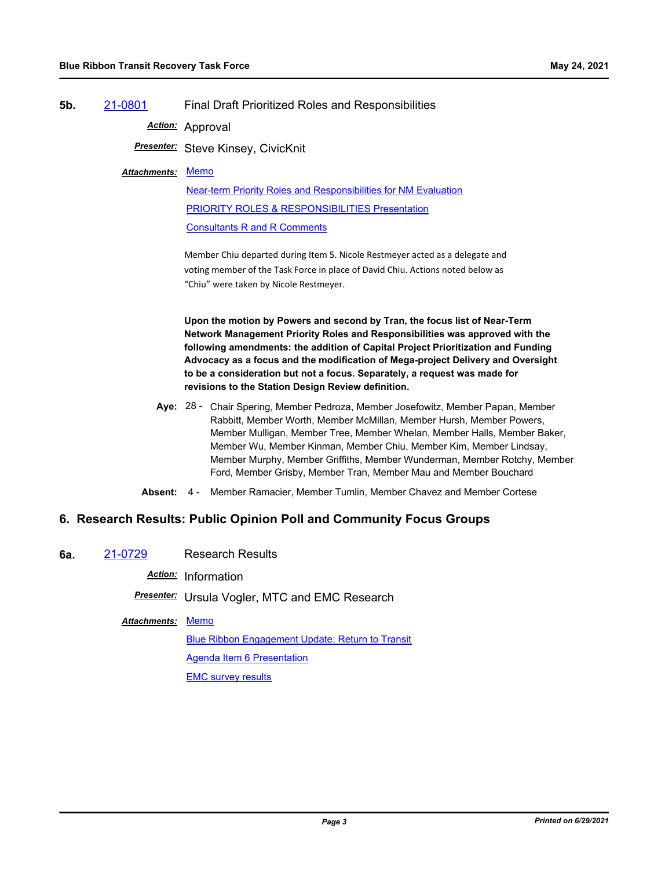### **5b.** [21-0801](http://mtc.legistar.com/gateway.aspx?m=l&id=/matter.aspx?key=22394) Final Draft Prioritized Roles and Responsibilities

*Action:* Approval

*Presenter:* Steve Kinsey, CivicKnit

#### [Memo](http://mtc.legistar.com/gateway.aspx?M=F&ID=889dce5e-04b1-4e94-b0b1-dbb3dfa2eef3.pdf) *Attachments:*

[Near-term Priority Roles and Responsibilities for NM Evaluation](http://mtc.legistar.com/gateway.aspx?M=F&ID=37f205c9-90b2-4626-821f-4744c12c53f7.pdf) [PRIORITY ROLES & RESPONSIBILITIES Presentation](http://mtc.legistar.com/gateway.aspx?M=F&ID=4a5292f5-e6d8-43cb-a132-e4d798842911.pdf) [Consultants R and R Comments](http://mtc.legistar.com/gateway.aspx?M=F&ID=b3a6509a-83d7-4772-9434-3e421f07487c.pdf)

Member Chiu departed during Item 5. Nicole Restmeyer acted as a delegate and voting member of the Task Force in place of David Chiu. Actions noted below as "Chiu" were taken by Nicole Restmeyer.

**Upon the motion by Powers and second by Tran, the focus list of Near-Term Network Management Priority Roles and Responsibilities was approved with the following amendments: the addition of Capital Project Prioritization and Funding Advocacy as a focus and the modification of Mega-project Delivery and Oversight to be a consideration but not a focus. Separately, a request was made for revisions to the Station Design Review definition.**

- Aye: 28 Chair Spering, Member Pedroza, Member Josefowitz, Member Papan, Member Rabbitt, Member Worth, Member McMillan, Member Hursh, Member Powers, Member Mulligan, Member Tree, Member Whelan, Member Halls, Member Baker, Member Wu, Member Kinman, Member Chiu, Member Kim, Member Lindsay, Member Murphy, Member Griffiths, Member Wunderman, Member Rotchy, Member Ford, Member Grisby, Member Tran, Member Mau and Member Bouchard
- **Absent:** 4 Member Ramacier, Member Tumlin, Member Chavez and Member Cortese

## **6. Research Results: Public Opinion Poll and Community Focus Groups**

**6a.** [21-0729](http://mtc.legistar.com/gateway.aspx?m=l&id=/matter.aspx?key=22322) Research Results

*Action:* Information

*Presenter:* Ursula Vogler, MTC and EMC Research

### Attachments: [Memo](http://mtc.legistar.com/gateway.aspx?M=F&ID=d952b09c-db4c-4088-be7a-62bc4dda7562.pdf)

[Blue Ribbon Engagement Update: Return to Transit](http://mtc.legistar.com/gateway.aspx?M=F&ID=12783543-5578-4bc6-a2d6-f528d07ea25e.pdf) [Agenda Item 6 Presentation](http://mtc.legistar.com/gateway.aspx?M=F&ID=9d596803-f550-44ff-9b63-3ebbf3a401c4.pdf) [EMC survey results](http://mtc.legistar.com/gateway.aspx?M=F&ID=f9459fcd-9603-48e5-b17b-40748fa30392.pdf)